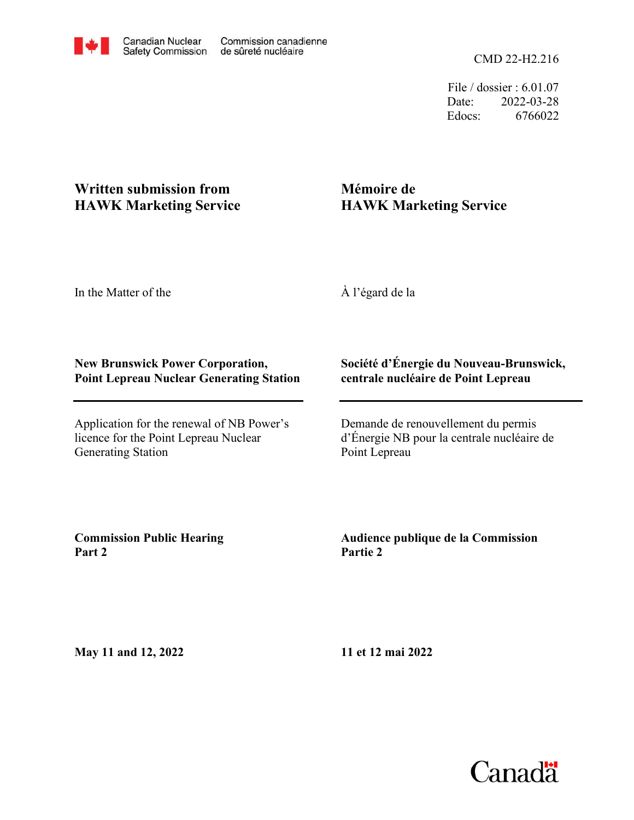File / dossier : 6.01.07 Date: 2022-03-28 Edocs: 6766022

# **Written submission from HAWK Marketing Service**

# **Mémoire de HAWK Marketing Service**

In the Matter of the

À l'égard de la

## **New Brunswick Power Corporation, Point Lepreau Nuclear Generating Station**

Application for the renewal of NB Power's licence for the Point Lepreau Nuclear Generating Station

### **Société d'Énergie du Nouveau-Brunswick, centrale nucléaire de Point Lepreau**

Demande de renouvellement du permis d'Énergie NB pour la centrale nucléaire de Point Lepreau

**Commission Public Hearing Part 2**

## **Audience publique de la Commission Partie 2**

**May 11 and 12, 2022**

**11 et 12 mai 2022**